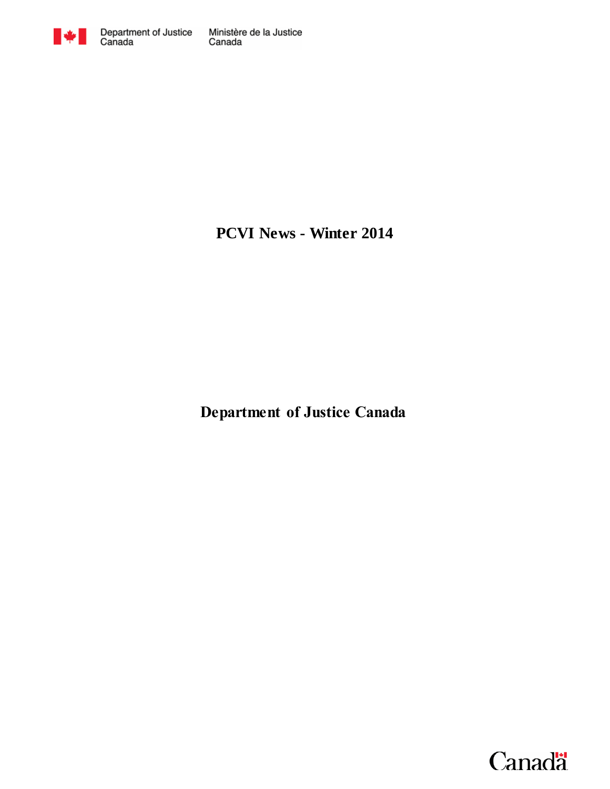

# **PCVI News - Winter 2014**

**Department of Justice Canada**

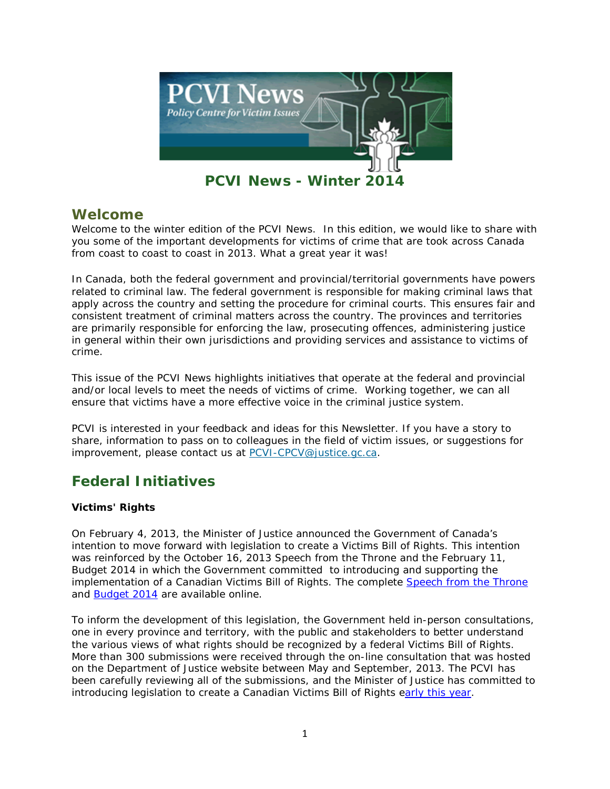

# **Welcome**

Welcome to the winter edition of the PCVI News. In this edition, we would like to share with you some of the important developments for victims of crime that are took across Canada from coast to coast to coast in 2013. What a great year it was!

In Canada, both the federal government and provincial/territorial governments have powers related to criminal law. The federal government is responsible for making criminal laws that apply across the country and setting the procedure for criminal courts. This ensures fair and consistent treatment of criminal matters across the country. The provinces and territories are primarily responsible for enforcing the law, prosecuting offences, administering justice in general within their own jurisdictions and providing services and assistance to victims of crime.

This issue of the PCVI News highlights initiatives that operate at the federal and provincial and/or local levels to meet the needs of victims of crime. Working together, we can all ensure that victims have a more effective voice in the criminal justice system.

PCVI is interested in your feedback and ideas for this Newsletter. If you have a story to share, information to pass on to colleagues in the field of victim issues, or suggestions for improvement, please contact us at [PCVI-CPCV@justice.gc.ca.](mailto:PCVI-CPCV@justice.gc.ca)

# **Federal Initiatives**

# **Victims' Rights**

On February 4, 2013, the Minister of Justice announced the Government of Canada's intention to move forward with legislation to create a Victims Bill of Rights. This intention was reinforced by the October 16, 2013 Speech from the Throne and the February 11, Budget 2014 in which the Government committed to introducing and supporting the implementation of a Canadian Victims Bill of Rights. The complete [Speech from the Throne](http://speech.gc.ca/) and [Budget 2014](http://www.budget.gc.ca/) are available online.

To inform the development of this legislation, the Government held in-person consultations, one in every province and territory, with the public and stakeholders to better understand the various views of what rights should be recognized by a federal Victims Bill of Rights. More than 300 submissions were received through the on-line consultation that was hosted on the Department of Justice website between May and September, 2013. The PCVI has been carefully reviewing all of the submissions, and the Minister of Justice has committed to introducing legislation to create a Canadian Victims Bill of Rights [early this year.](http://www.justice.gc.ca/eng/news-nouv/nr-cp/2013/doc_33022.html)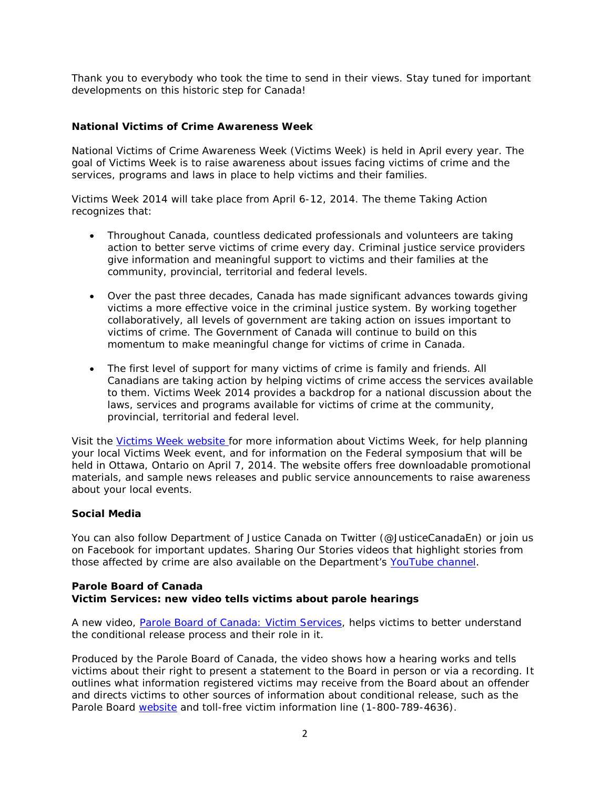Thank you to everybody who took the time to send in their views. Stay tuned for important developments on this historic step for Canada!

# **National Victims of Crime Awareness Week**

National Victims of Crime Awareness Week (Victims Week) is held in April every year. The goal of Victims Week is to raise awareness about issues facing victims of crime and the services, programs and laws in place to help victims and their families.

Victims Week 2014 will take place from April 6-12, 2014. The theme Taking Action recognizes that:

- Throughout Canada, countless dedicated professionals and volunteers are taking action to better serve victims of crime every day. Criminal justice service providers give information and meaningful support to victims and their families at the community, provincial, territorial and federal levels.
- Over the past three decades, Canada has made significant advances towards giving victims a more effective voice in the criminal justice system. By working together collaboratively, all levels of government are taking action on issues important to victims of crime. The Government of Canada will continue to build on this momentum to make meaningful change for victims of crime in Canada.
- The first level of support for many victims of crime is family and friends. All Canadians are taking action by helping victims of crime access the services available to them. Victims Week 2014 provides a backdrop for a national discussion about the laws, services and programs available for victims of crime at the community, provincial, territorial and federal level.

Visit the [Victims Week website f](http://victimsweek.gc.ca/)or more information about Victims Week, for help planning your local Victims Week event, and for information on the Federal symposium that will be held in Ottawa, Ontario on April 7, 2014. The website offers free downloadable promotional materials, and sample news releases and public service announcements to raise awareness about your local events.

### **Social Media**

You can also follow Department of Justice Canada on Twitter (@JusticeCanadaEn) or join us on Facebook for important updates. Sharing Our Stories videos that highlight stories from those affected by crime are also available on the Department's [YouTube channel.](http://www.youtube.com/playlist?list=PLjp6GdJz-EA40MsUCaLVBlJRasGWw-eyf)

#### **Parole Board of Canada** *Victim Services:* **new video tells victims about parole hearings**

A new video, *[Parole Board of Canada: Victim Services,](http://pbc-clcc.gc.ca/vids/htm/vs-eng.shtml)* helps victims to better understand the conditional release process and their role in it.

Produced by the Parole Board of Canada, the video shows how a hearing works and tells victims about their right to present a statement to the Board in person or via a recording. It outlines what information registered victims may receive from the Board about an offender and directs victims to other sources of information about conditional release, such as the Parole Board [website](http://www.pbc-clcc.gc.ca/) and toll-free victim information line (1-800-789-4636).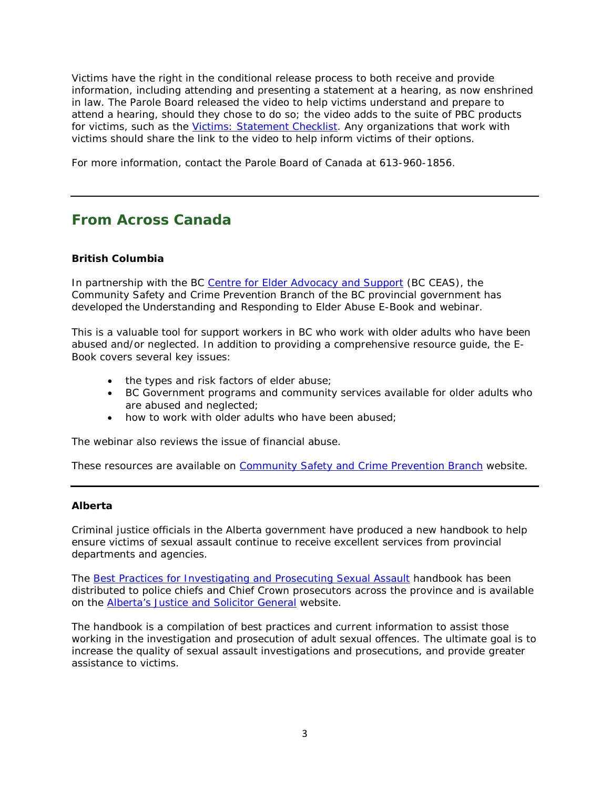Victims have the right in the conditional release process to both receive and provide information, including attending and presenting a statement at a hearing, as now enshrined in law. The Parole Board released the video to help victims understand and prepare to attend a hearing, should they chose to do so; the video adds to the suite of PBC products for victims, such as the [Victims: Statement Checklist.](http://pbc-clcc.gc.ca/infocntr/factsh/sc-lvd-eng.shtml) Any organizations that work with victims should share the link to the video to help inform victims of their options.

For more information, contact the Parole Board of Canada at 613-960-1856.

# **From Across Canada**

### **British Columbia**

In partnership with the BC [Centre for Elder Advocacy and Support](http://bcceas.ca/) (BC CEAS), the Community Safety and Crime Prevention Branch of the BC provincial government has developed the *Understanding and Responding to Elder Abuse E-Book* and webinar.

This is a valuable tool for support workers in BC who work with older adults who have been abused and/or neglected. In addition to providing a comprehensive resource guide, the E-Book covers several key issues:

- the types and risk factors of elder abuse;
- BC Government programs and community services available for older adults who are abused and neglected;
- how to work with older adults who have been abused;

The webinar also reviews the issue of financial abuse.

These resources are available on [Community Safety and Crime Prevention Branch](http://www.pssg.gov.bc.ca/victimservices/training/index.htm) website.

### **Alberta**

Criminal justice officials in the Alberta government have produced a new handbook to help ensure victims of sexual assault continue to receive excellent services from provincial departments and agencies.

The *[Best Practices for Investigating and Prosecuting Sexual Assault](http://justice.alberta.ca/programs_services/criminal_pros/Publications%20Library%20%20Criminal%20Prosecutions/BestPracticesforInvestigatingandProsecutingSexualAssault.aspx/DispForm.aspx?ID=13)* handbook has been distributed to police chiefs and Chief Crown prosecutors across the province and is available on the [Alberta's Justice and Solicitor General](http://justice.alberta.ca/programs_services/criminal_pros/Publications%20Library%20%20Criminal%20Prosecutions/BestPracticesforInvestigatingandProsecutingSexualAssault.aspx/DispForm.aspx?ID=13) website.

The handbook is a compilation of best practices and current information to assist those working in the investigation and prosecution of adult sexual offences. The ultimate goal is to increase the quality of sexual assault investigations and prosecutions, and provide greater assistance to victims.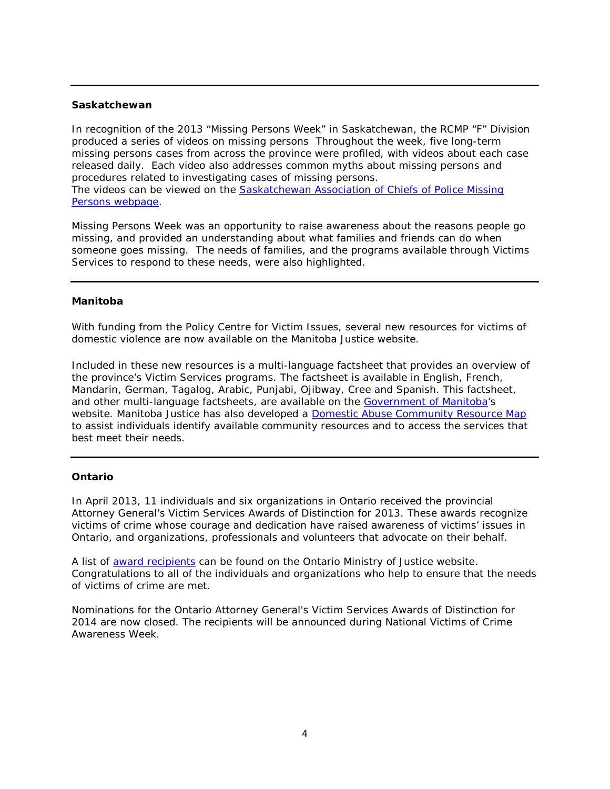#### **Saskatchewan**

In recognition of the 2013 "Missing Persons Week" in Saskatchewan, the RCMP "F" Division produced a series of videos on missing persons Throughout the week, five long-term missing persons cases from across the province were profiled, with videos about each case released daily. Each video also addresses common myths about missing persons and procedures related to investigating cases of missing persons. The videos can be viewed on the [Saskatchewan Association of Chiefs of Police Missing](http://www.sacp.ca/missing/index.php)  [Persons webpage.](http://www.sacp.ca/missing/index.php)

Missing Persons Week was an opportunity to raise awareness about the reasons people go missing, and provided an understanding about what families and friends can do when someone goes missing. The needs of families, and the programs available through Victims Services to respond to these needs, were also highlighted.

# **Manitoba**

With funding from the Policy Centre for Victim Issues, several new resources for victims of domestic violence are now available on the Manitoba Justice website.

Included in these new resources is a multi-language factsheet that provides an overview of the province's Victim Services programs. The factsheet is available in English, French, Mandarin, German, Tagalog, Arabic, Punjabi, Ojibway, Cree and Spanish. This factsheet, and other multi-language factsheets, are available on the [Government of Manitoba'](http://www.gov.mb.ca/justice/victims/index.html)s website. Manitoba Justice has also developed a [Domestic Abuse Community Resource Map](http://www.gov.mb.ca/justice/victims/pdf/resource_map.pdf) to assist individuals identify available community resources and to access the services that best meet their needs.

#### **Ontario**

In April 2013, 11 individuals and six organizations in Ontario received the provincial Attorney General's Victim Services Awards of Distinction for 2013. These awards recognize victims of crime whose courage and dedication have raised awareness of victims' issues in Ontario, and organizations, professionals and volunteers that advocate on their behalf.

A list of [award recipients](http://www.attorneygeneral.jus.gov.on.ca/english/news/2013/20130425-victimsweek-nr.asp) can be found on the Ontario Ministry of Justice website. Congratulations to all of the individuals and organizations who help to ensure that the needs of victims of crime are met.

Nominations for the Ontario Attorney General's Victim Services Awards of Distinction for 2014 are now closed. The recipients will be announced during National Victims of Crime Awareness Week.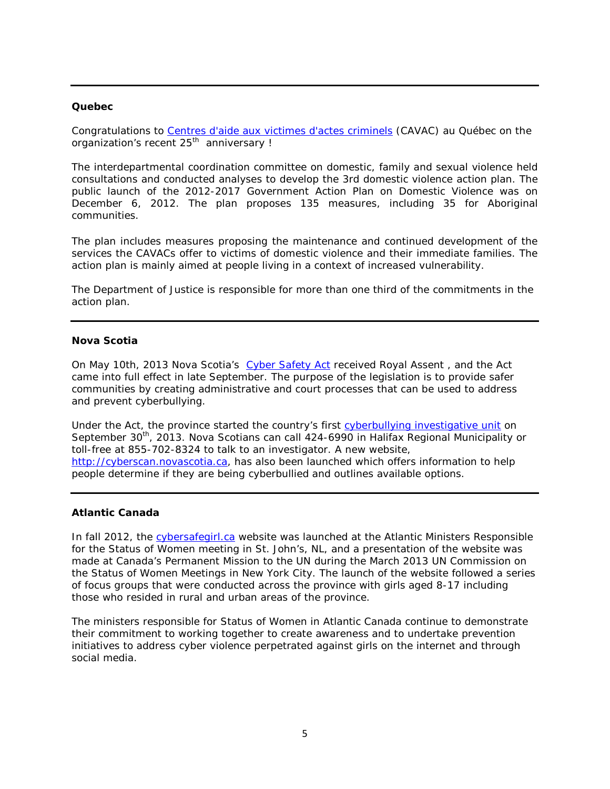#### **Quebec**

Congratulations to [Centres d'aide aux victimes d'actes criminels](http://www.dpcp.gouv.qc.ca/ressources/communiques/2013/Communique%20de%20presse%20-%20%2025%20ans%20CAVAC.pdf) (CAVAC) au Québec on the organization's recent 25<sup>th</sup> anniversary !

The interdepartmental coordination committee on domestic, family and sexual violence held consultations and conducted analyses to develop the 3rd domestic violence action plan. The public launch of the *2012-2017 Government Action Plan on Domestic Violence* was on December 6, 2012. The plan proposes 135 measures, including 35 for Aboriginal communities.

The plan includes measures proposing the maintenance and continued development of the services the CAVACs offer to victims of domestic violence and their immediate families. The action plan is mainly aimed at people living in a context of increased vulnerability.

The Department of Justice is responsible for more than one third of the commitments in the action plan.

# **Nova Scotia**

On May 10th, 2013 Nova Scotia's *[Cyber Safety Act](http://nslegislature.ca/legc/bills/61st_5th/1st_read/b061.htm)* received Royal Assent , and the Act came into full effect in late September. The purpose of the legislation is to provide safer communities by creating administrative and court processes that can be used to address and prevent cyberbullying.

Under the Act, the province started the country's first [cyberbullying investigative unit](http://novascotia.ca/news/release/?id=20130930003) on September 30<sup>th</sup>, 2013. Nova Scotians can call 424-6990 in Halifax Regional Municipality or toll-free at 855-702-8324 to talk to an investigator. A new website, [http://cyberscan.novascotia.ca,](http://cyberscan.novascotia.ca/) has also been launched which offers information to help people determine if they are being cyberbullied and outlines available options.

#### **Atlantic Canada**

In fall 2012, the [cybersafegirl.ca](http://www.cybersafegirl.ca/) website was launched at the Atlantic Ministers Responsible for the Status of Women meeting in St. John's, NL, and a presentation of the website was made at Canada's Permanent Mission to the UN during the March 2013 UN Commission on the Status of Women Meetings in New York City. The launch of the website followed a series of focus groups that were conducted across the province with girls aged 8-17 including those who resided in rural and urban areas of the province.

The ministers responsible for Status of Women in Atlantic Canada continue to demonstrate their commitment to working together to create awareness and to undertake prevention initiatives to address cyber violence perpetrated against girls on the internet and through social media.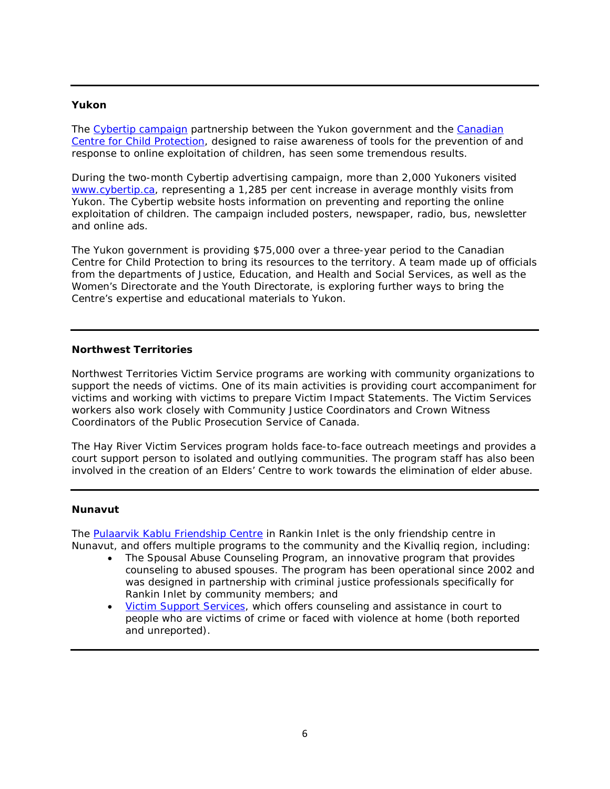#### **Yukon**

The [Cybertip campaign](http://www.gov.yk.ca/news/13-136.html) partnership between the Yukon government and the Canadian [Centre for Child Protection,](https://protectchildren.ca/app/en/) designed to raise awareness of tools for the prevention of and response to online exploitation of children, has seen some tremendous results.

During the two-month Cybertip advertising campaign, more than 2,000 Yukoners visited [www.cybertip.ca,](http://www.cybertip.ca/) representing a 1,285 per cent increase in average monthly visits from Yukon. The Cybertip website hosts information on preventing and reporting the online exploitation of children. The campaign included posters, newspaper, radio, bus, newsletter and online ads.

The Yukon government is providing \$75,000 over a three-year period to the Canadian Centre for Child Protection to bring its resources to the territory. A team made up of officials from the departments of Justice, Education, and Health and Social Services, as well as the Women's Directorate and the Youth Directorate, is exploring further ways to bring the Centre's expertise and educational materials to Yukon.

#### **Northwest Territories**

Northwest Territories Victim Service programs are working with community organizations to support the needs of victims. One of its main activities is providing court accompaniment for victims and working with victims to prepare Victim Impact Statements. The Victim Services workers also work closely with Community Justice Coordinators and Crown Witness Coordinators of the Public Prosecution Service of Canada.

The Hay River Victim Services program holds face-to-face outreach meetings and provides a court support person to isolated and outlying communities. The program staff has also been involved in the creation of an Elders' Centre to work towards the elimination of elder abuse.

#### **Nunavut**

The [Pulaarvik Kablu Friendship Centre](http://www.pulaarvik.ca/index.html) in Rankin Inlet is the only friendship centre in Nunavut, and offers multiple programs to the community and the Kivalliq region, including:

- The Spousal Abuse Counseling Program, an innovative program that provides counseling to abused spouses. The program has been operational since 2002 and was designed in partnership with criminal justice professionals specifically for Rankin Inlet by community members; and
- **Victim Support Services**, which offers counseling and assistance in court to people who are victims of crime or faced with violence at home (both reported and unreported).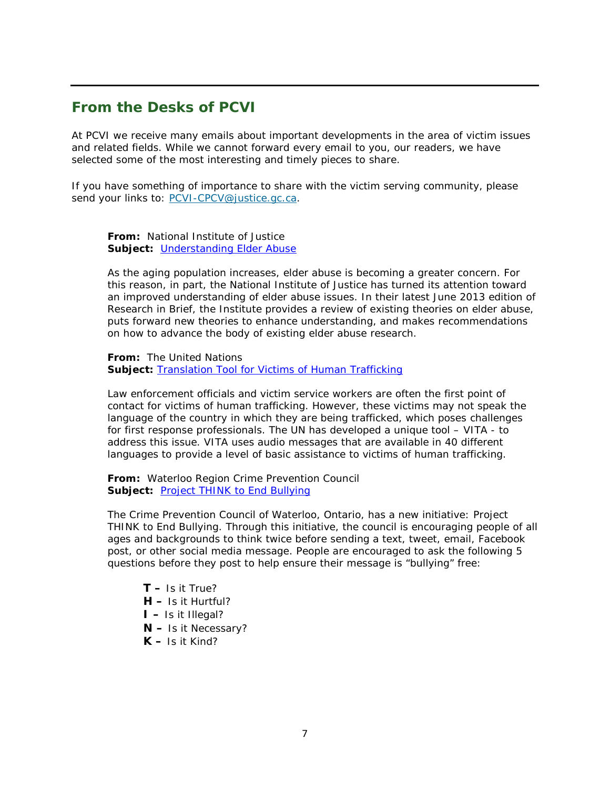# **From the Desks of PCVI**

At PCVI we receive many emails about important developments in the area of victim issues and related fields. While we cannot forward every email to you, our readers, we have selected some of the most interesting and timely pieces to share.

If you have something of importance to share with the victim serving community, please send your links to: [PCVI-CPCV@justice.gc.ca.](mailto:PCVI-CPCV@justice.gc.ca)

**From:** National Institute of Justice **Subject:** *[Understanding Elder Abuse](https://www.ncjrs.gov/pdffiles1/nij/241731.pdf)*

As the aging population increases, elder abuse is becoming a greater concern. For this reason, in part, the National Institute of Justice has turned its attention toward an improved understanding of elder abuse issues. In their latest June 2013 edition of *Research in Brief,* the Institute provides a review of existing theories on elder abuse, puts forward new theories to enhance understanding, and makes recommendations on how to advance the body of existing elder abuse research.

**From:** The United Nations Subject: **[Translation Tool for Victims of Human Trafficking](http://www.ungift.org/knowledgehub/en/tools/vita.html)** 

Law enforcement officials and victim service workers are often the first point of contact for victims of human trafficking. However, these victims may not speak the language of the country in which they are being trafficked, which poses challenges for first response professionals. The UN has developed a unique tool – VITA - to address this issue. VITA uses audio messages that are available in 40 different languages to provide a level of basic assistance to victims of human trafficking.

**From:** Waterloo Region Crime Prevention Council **Subject:** [Project THINK to](http://www.preventingcrime.ca/main.cfm?id=E1698E39-EDF0-F1C9-46ABEDC46837048B) End Bullying

The Crime Prevention Council of Waterloo, Ontario, has a new initiative: *Project THINK to End Bullying*. Through this initiative, the council is encouraging people of all ages and backgrounds to think twice before sending a text, tweet, email, Facebook post, or other social media message. People are encouraged to ask the following 5 questions before they post to help ensure their message is "bullying" free:

**T –** Is it True? **H –** Is it Hurtful? **I –** Is it Illegal? **N –** Is it Necessary? **K –** Is it Kind?